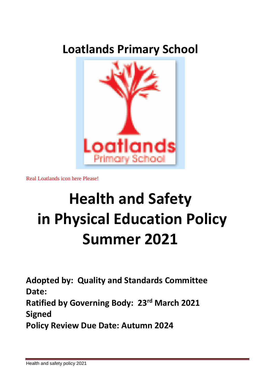# **Loatlands Primary School**



Real Loatlands icon here Please!

# **Health and Safety in Physical Education Policy Summer 2021**

**Adopted by: Quality and Standards Committee Date:** 

**Ratified by Governing Body: 23rd March 2021 Signed**

**Policy Review Due Date: Autumn 2024**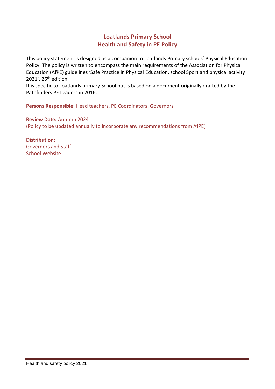#### **Loatlands Primary School Health and Safety in PE Policy**

This policy statement is designed as a companion to Loatlands Primary schools' Physical Education Policy. The policy is written to encompass the main requirements of the Association for Physical Education (AfPE) guidelines 'Safe Practice in Physical Education, school Sport and physical activity 2021', 26th edition.

It is specific to Loatlands primary School but is based on a document originally drafted by the Pathfinders PE Leaders in 2016.

**Persons Responsible:** Head teachers, PE Coordinators, Governors

**Review Date:** Autumn 2024 (Policy to be updated annually to incorporate any recommendations from AfPE)

**Distribution:** Governors and Staff School Website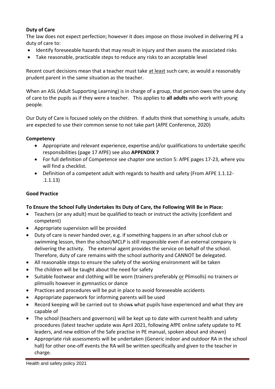#### **Duty of Care**

The law does not expect perfection; however it does impose on those involved in delivering PE a duty of care to:

- Identify foreseeable hazards that may result in injury and then assess the associated risks
- Take reasonable, practicable steps to reduce any risks to an acceptable level

Recent court decisions mean that a teacher must take at least such care, as would a reasonably prudent parent in the same situation as the teacher.

When an ASL (Adult Supporting Learning) is in charge of a group, that person owes the same duty of care to the pupils as if they were a teacher. This applies to **all adults** who work with young people.

Our Duty of Care is focused solely on the children. If adults think that something is unsafe, adults are expected to use their common sense to not take part (AfPE Conference, 2020)

#### **Competency**

- Appropriate and relevant experience, expertise and/or qualifications to undertake specific responsibilities (page 17 AfPE) see also **APPENDIX 7**
- For full definition of Competence see chapter one section 5: AfPE pages 17-23, where you will find a checklist.
- Definition of a competent adult with regards to health and safety (From AFPE 1.1.12- .1.1.13)

#### **Good Practice**

#### **To Ensure the School Fully Undertakes Its Duty of Care, the Following Will Be in Place:**

- Teachers (or any adult) must be qualified to teach or instruct the activity (confident and competent)
- Appropriate supervision will be provided
- Duty of care is never handed over, e.g. if something happens in an after school club or swimming lesson, then the school/MCLP is still responsible even if an external company is delivering the activity. The external agent provides the service on behalf of the school. Therefore, duty of care remains with the school authority and CANNOT be delegated.
- All reasonable steps to ensure the safety of the working environment will be taken
- The children will be taught about the need for safety
- Suitable footwear and clothing will be worn (trainers preferably or Plimsolls) no trainers or plimsolls however in gymnastics or dance
- Practices and procedures will be put in place to avoid foreseeable accidents
- Appropriate paperwork for informing parents will be used
- Record keeping will be carried out to shows what pupils have experienced and what they are capable of
- The school (teachers and governors) will be kept up to date with current health and safety procedures (latest teacher update was April 2021, following AfPE online safety update to PE leaders, and new edition of the Safe practise in PE manual, spoken about and shown)
- Appropriate risk assessments will be undertaken (Generic indoor and outdoor RA in the school hall) for other one-off events the RA will be written specifically and given to the teacher in charge.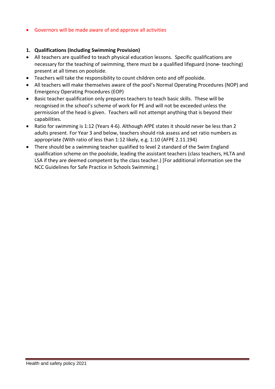Governors will be made aware of and approve all activities

#### **1. Qualifications (Including Swimming Provision)**

- All teachers are qualified to teach physical education lessons. Specific qualifications are necessary for the teaching of swimming, there must be a qualified lifeguard (none- teaching) present at all times on poolside.
- Teachers will take the responsibility to count children onto and off poolside.
- All teachers will make themselves aware of the pool's Normal Operating Procedures (NOP) and Emergency Operating Procedures (EOP)
- Basic teacher qualification only prepares teachers to teach basic skills. These will be recognised in the school's scheme of work for PE and will not be exceeded unless the permission of the head is given. Teachers will not attempt anything that is beyond their capabilities.
- Ratio for swimming is 1:12 (Years 4-6). Although AfPE states it should never be less than 2 adults present. For Year 3 and below, teachers should risk assess and set ratio numbers as appropriate (With ratio of less than 1:12 likely, e.g. 1:10 (AFPE 2.11.194)
- There should be a swimming teacher qualified to level 2 standard of the Swim England qualification scheme on the poolside, leading the assistant teachers (class teachers, HLTA and LSA if they are deemed competent by the class teacher.) [For additional information see the NCC Guidelines for Safe Practice in Schools Swimming.]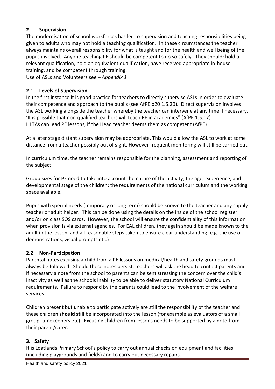#### **2. Supervision**

The modernisation of school workforces has led to supervision and teaching responsibilities being given to adults who may not hold a teaching qualification. In these circumstances the teacher always maintains overall responsibility for what is taught and for the health and well being of the pupils involved. Anyone teaching PE should be competent to do so safely. They should: hold a relevant qualification, hold an equivalent qualification, have received appropriate in-house training, and be competent through training.

Use of ASLs and Volunteers see – *Appendix 1*

#### **2.1 Levels of Supervision**

In the first instance it is good practice for teachers to directly supervise ASLs in order to evaluate their competence and approach to the pupils (see AfPE p20 1.5.20). Direct supervision involves the ASL working alongside the teacher whereby the teacher can intervene at any time if necessary. 'It is possible that non-qualified teachers will teach PE in academies" (AfPE 1.5.17) HLTAs can lead PE lessons, if the Head teacher deems them as competent (AfPE)

At a later stage distant supervision may be appropriate. This would allow the ASL to work at some distance from a teacher possibly out of sight. However frequent monitoring will still be carried out.

In curriculum time, the teacher remains responsible for the planning, assessment and reporting of the subject.

Group sizes for PE need to take into account the nature of the activity; the age, experience, and developmental stage of the children; the requirements of the national curriculum and the working space available.

Pupils with special needs (temporary or long term) should be known to the teacher and any supply teacher or adult helper. This can be done using the details on the inside of the school register and/or on class SOS cards. However, the school will ensure the confidentiality of this information when provision is via external agencies. For EAL children, they again should be made known to the adult in the lesson, and all reasonable steps taken to ensure clear understanding (e.g. the use of demonstrations, visual prompts etc.)

#### **2.2 Non-Participation**

Parental notes excusing a child from a PE lessons on medical/health and safety grounds must always be followed. Should these notes persist, teachers will ask the head to contact parents and if necessary a note from the school to parents can be sent stressing the concern over the child's inactivity as well as the schools inability to be able to deliver statutory National Curriculum requirements. Failure to respond by the parents could lead to the involvement of the welfare services.

Children present but unable to participate actively are still the responsibility of the teacher and these children **should still** be incorporated into the lesson (for example as evaluators of a small group, timekeepers etc). Excusing children from lessons needs to be supported by a note from their parent/carer.

#### **3. Safety**

It is Loatlands Primary School's policy to carry out annual checks on equipment and facilities (including playgrounds and fields) and to carry out necessary repairs.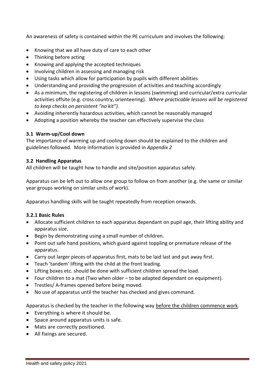An awareness of safety is contained within the PE curriculum and involves the following:

- Knowing that we all have duty of care to each other
- Thinking before acting
- Knowing and applying the accepted techniques
- Involving children in assessing and managing risk
- Using tasks which allow for participation by pupils with different abilities
- Understanding and providing the progression of activities and teaching accordingly
- As a minimum, the registering of children in lessons (swimming) and curricular/extra curricular activities offsite (e.g. cross country, orienteering). *Where practicable lessons will be registered to keep checks on persistent "no kit").*
- Avoiding inherently hazardous activities, which cannot be reasonably managed
- Adopting a position whereby the teacher can effectively supervise the class

#### **3.1 Warm-up/Cool down**

The importance of warming up and cooling down should be explained to the children and guidelines followed. More information is provided in *Appendix 2*

#### **3.2 Handling Apparatus**

All children will be taught how to handle and site/position apparatus safely.

Apparatus can be left out to allow one group to follow on from another (e.g. the same or similar year groups working on similar units of work).

Apparatus handling skills will be taught repeatedly from reception onwards.

#### **3.2.1 Basic Rules**

- Allocate sufficient children to each apparatus dependant on pupil age, their lifting ability and apparatus size.
- Begin by demonstrating using a small number of children.
- Point out safe hand positions, which guard against toppling or premature release of the apparatus.
- Carry out larger pieces of apparatus first, mats to be laid last and put away first.
- Teach 'tandem' lifting with the child at the front leading.
- Lifting boxes etc. should be done with sufficient children spread the load.
- Four children to a mat (Two when older to be adapted dependant on equipment).
- Trestles/ A-frames opened before being moved.
- No use of apparatus until the teacher has checked and gives command.

Apparatus is checked by the teacher in the following way before the children commence work.

- Everything is where it should be.
- Space around apparatus units is safe.
- Mats are correctly positioned.
- All fixings are secured.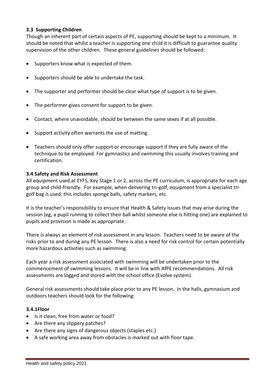#### **3.3 Supporting Children**

Though an inherent part of certain aspects of PE, supporting should be kept to a minimum. It should be noted that whilst a teacher is supporting one child it is difficult to guarantee quality supervision of the other children. These general guidelines should be followed:

- Supporters know what is expected of them.
- Supporters should be able to undertake the task.
- The supporter and performer should be clear what type of support is to be given.
- The performer gives consent for support to be given.
- Contact, where unavoidable, should be between the same sexes if at all possible.
- Support activity often warrants the use of matting.
- Teachers should only offer support or encourage support if they are fully aware of the technique to be employed. For gymnastics and swimming this usually involves training and certification.

#### **3.4 Safety and Risk Assessment**

All equipment used at EYFS, Key Stage 1 or 2, across the PE curriculum, is appropriate for each age group and child-friendly. For example, when delivering tri-golf, equipment from a specialist trigolf bag is used: this includes sponge balls, safety markers, etc.

It is the teacher's responsibility to ensure that Health & Safety issues that may arise during the session (eg, a pupil running to collect their ball whilst someone else is hitting one) are explained to pupils and provision is made as appropriate.

There is always an element of risk assessment in any lesson. Teachers need to be aware of the risks prior to and during any PE lesson. There is also a need for risk control for certain potentially more hazardous activities such as swimming.

Each year a risk assessment associated with swimming will be undertaken prior to the commencement of swimming lessons. It will be in line with AfPE recommendations. All risk assessments are logged and stored with the school office (Evolve system).

General risk assessments should take place prior to any PE lesson. In the halls, gymnasium and outdoors teachers should look for the following:

#### **3.4.1Floor**

- Is it clean, free from water or food?
- Are there any slippery patches?
- Are there any signs of dangerous objects (staples etc.)
- A safe working area away from obstacles is marked out with floor tape.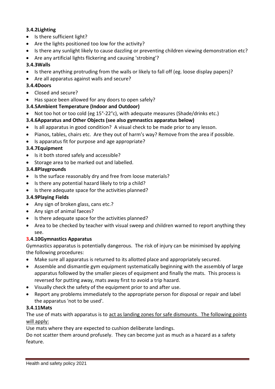#### **3.4.2Lighting**

- Is there sufficient light?
- Are the lights positioned too low for the activity?
- Is there any sunlight likely to cause dazzling or preventing children viewing demonstration etc?
- Are any artificial lights flickering and causing 'strobing'?

#### **3.4.3Walls**

- Is there anything protruding from the walls or likely to fall off (eg. loose display papers)?
- Are all apparatus against walls and secure?

#### **3.4.4Doors**

- Closed and secure?
- Has space been allowed for any doors to open safely?

#### **3.4.5Ambient Temperature (Indoor and Outdoor)**

Not too hot or too cold (eg 15°-22°c), with adequate measures (Shade/drinks etc.)

#### **3.4.6Apparatus and Other Objects (see also gymnastics apparatus below)**

- Is all apparatus in good condition? A visual check to be made prior to any lesson.
- Pianos, tables, chairs etc. Are they out of harm's way? Remove from the area if possible.
- Is apparatus fit for purpose and age appropriate?

#### **3.4.7Equipment**

- Is it both stored safely and accessible?
- Storage area to be marked out and labelled.

#### **3.4.8Playgrounds**

- Is the surface reasonably dry and free from loose materials?
- Is there any potential hazard likely to trip a child?
- Is there adequate space for the activities planned?

#### **3.4.9Playing Fields**

- Any sign of broken glass, cans etc.?
- Any sign of animal faeces?
- Is there adequate space for the activities planned?
- Area to be checked by teacher with visual sweep and children warned to report anything they see.

#### **3.4.10Gymnastics Apparatus**

Gymnastics apparatus is potentially dangerous. The risk of injury can be minimised by applying the following procedures:

- Make sure all apparatus is returned to its allotted place and appropriately secured.
- Assemble and dismantle gym equipment systematically beginning with the assembly of large apparatus followed by the smaller pieces of equipment and finally the mats. This process is reversed for putting away, mats away first to avoid a trip hazard.
- Visually check the safety of the equipment prior to and after use.
- Report any problems immediately to the appropriate person for disposal or repair and label the apparatus 'not to be used'.

#### **3.4.11Mats**

The use of mats with apparatus is to act as landing zones for safe dismounts. The following points will apply:

Use mats where they are expected to cushion deliberate landings.

Do not scatter them around profusely. They can become just as much as a hazard as a safety feature.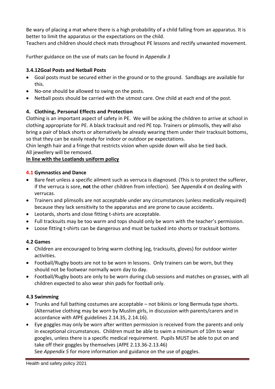Be wary of placing a mat where there is a high probability of a child falling from an apparatus. It is better to limit the apparatus or the expectations on the child.

Teachers and children should check mats throughout PE lessons and rectify unwanted movement.

Further guidance on the use of mats can be found in *Appendix 3*

#### **3.4.12Goal Posts and Netball Posts**

- Goal posts must be secured either in the ground or to the ground. Sandbags are available for this.
- No-one should be allowed to swing on the posts.
- Netball posts should be carried with the utmost care. One child at each end of the post.

#### **4. Clothing, Personal Effects and Protection**

Clothing is an important aspect of safety in PE. We will be asking the children to arrive at school in clothing appropriate for PE. A black tracksuit and red PE top. Trainers or plimsolls, they will also bring a pair of black shorts or alternatively be already wearing them under their tracksuit bottoms, so that they can be easily ready for indoor or outdoor pe expectations.

Chin length hair and a fringe that restricts vision when upside down will also be tied back. All jewellery will be removed.

#### **In line with the Loatlands uniform policy**

#### **4.1 Gymnastics and Dance**

- Bare feet unless a specific ailment such as verruca is diagnosed. (This is to protect the sufferer, if the verruca is sore, **not** the other children from infection). See A*ppendix 4* on dealing with verrucas.
- Trainers and plimsolls are not acceptable under any circumstances (unless medically required) because they lack sensitivity to the apparatus and are prone to cause accidents.
- Leotards, shorts and close fitting t-shirts are acceptable.
- Full tracksuits may be too warm and tops should only be worn with the teacher's permission.
- Loose fitting t-shirts can be dangerous and must be tucked into shorts or tracksuit bottoms.

#### **4.2 Games**

- Children are encouraged to bring warm clothing (eg, tracksuits, gloves) for outdoor winter activities.
- Football/Rugby boots are not to be worn in lessons. Only trainers can be worn, but they should not be footwear normally worn day to day.
- Football/Rugby boots are only to be worn during club sessions and matches on grasses, with all children expected to also wear shin pads for football only.

#### **4.3 Swimming**

- Trunks and full bathing costumes are acceptable not bikinis or long Bermuda type shorts. (Alternative clothing may be worn by Muslim girls, in discussion with parents/carers and in accordance with AfPE guidelines 2.14.35, 2.14.16).
- Eye goggles may only be worn after written permission is received from the parents and only in exceptional circumstances. Children must be able to swim a minimum of 10m to wear googles, unless there is a specific medical requirement. Pupils MUST be able to put on and take off their goggles by themselves (AfPE 2.13.36-2.13.46)

See *Appendix 5* for more information and guidance on the use of goggles.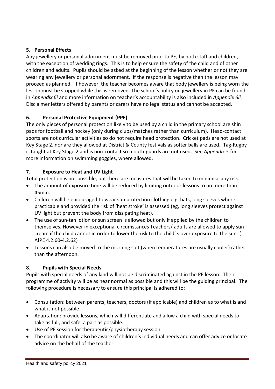#### **5. Personal Effects**

Any jewellery or personal adornment must be removed prior to PE, by both staff and children, with the exception of wedding rings. This is to help ensure the safety of the child and of other children and adults. Pupils should be asked at the beginning of the lesson whether or not they are wearing any jewellery or personal adornment. If the response is negative then the lesson may proceed as planned. If however, the teacher becomes aware that body jewellery is being worn the lesson must be stopped while this is removed. The school's policy on jewellery in PE can be found in *Appendix 6i* and more information on teacher's accountability is also included in *Appendix 6ii.* Disclaimer letters offered by parents or carers have no legal status and cannot be accepted.

#### **6. Personal Protective Equipment (PPE)**

The only pieces of personal protection likely to be used by a child in the primary school are shin pads for football and hockey (only during clubs/matches rather than curriculum). Head-contact sports are not curricular activities so do not require head protection. Cricket pads are not used at Key Stage 2, nor are they allowed at District & County festivals as softer balls are used. Tag-Rugby is taught at Key Stage 2 and is non-contact so mouth-guards are not used. See *Appendix 5* for more information on swimming goggles, where allowed.

#### **7. Exposure to Heat and UV Light**

Total protection is not possible, but there are measures that will be taken to minimise any risk.

- The amount of exposure time will be reduced by limiting outdoor lessons to no more than 45min.
- Children will be encouraged to wear sun protection clothing e.g. hats, long sleeves where practicable and provided the risk of 'heat stroke' is assessed (eg, long sleeves protect against UV light but prevent the body from dissipating heat).
- The use of sun-tan lotion or sun screen is allowed but only if applied by the children to themselves. However in exceptional circumstances Teachers/ adults are allowed to apply sun cream if the child cannot in order to lower the risk to the child' s over exposure to the sun. ( AfPE 4.2.60-4.2.62)
- Lessons can also be moved to the morning slot (when temperatures are usually cooler) rather than the afternoon.

#### **8. Pupils with Special Needs**

Pupils with special needs of any kind will not be discriminated against in the PE lesson. Their programme of activity will be as near normal as possible and this will be the guiding principal. The following procedure is necessary to ensure this principal is adhered to:

- Consultation: between parents, teachers, doctors (if applicable) and children as to what is and what is not possible.
- Adaptation: provide lessons, which will differentiate and allow a child with special needs to take as full, and safe, a part as possible.
- Use of PE session for therapeutic/physiotherapy session
- The coordinator will also be aware of children's individual needs and can offer advice or locate advice on the behalf of the teacher.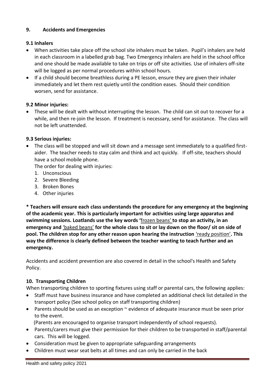#### **9. Accidents and Emergencies**

#### **9.1 Inhalers**

- When activities take place off the school site inhalers must be taken. Pupil's inhalers are held in each classroom in a labelled grab bag. Two Emergency inhalers are held in the school office and one should be made available to take on trips or off site activities. Use of inhalers off-site will be logged as per normal procedures within school hours.
- If a child should become breathless during a PE lesson, ensure they are given their inhaler immediately and let them rest quietly until the condition eases. Should their condition worsen, send for assistance.

#### **9.2 Minor injuries:**

 These will be dealt with without interrupting the lesson. The child can sit out to recover for a while, and then re-join the lesson. If treatment is necessary, send for assistance. The class will not be left unattended.

#### **9.3 Serious injuries:**

 The class will be stopped and will sit down and a message sent immediately to a qualified firstaider. The teacher needs to stay calm and think and act quickly. If off-site, teachers should have a school mobile phone.

The order for dealing with injuries:

- 1. Unconscious
- 2. Severe Bleeding
- 3. Broken Bones
- 4. Other injuries

**\* Teachers will ensure each class understands the procedure for any emergency at the beginning of the academic year. This is particularly important for activities using large apparatus and swimming sessions. Loatlands use the key words '**frozen beans' **to stop an activity, in an emergency and** 'baked beans' **for the whole class to sit or lay down on the floor/ sit on side of pool. The children stop for any other reason upon hearing the instruction** 'ready position'**. This way the difference is clearly defined between the teacher wanting to teach further and an emergency.**

Accidents and accident prevention are also covered in detail in the school's Health and Safety Policy.

#### **10. Transporting Children**

When transporting children to sporting fixtures using staff or parental cars, the following applies:

- Staff must have business insurance and have completed an additional check list detailed in the transport policy (See school policy on staff transporting children)
- Parents should be used as an exception  $\sim$  evidence of adequate insurance must be seen prior to the event.

(Parents are encouraged to organise transport independently of school requests).

- Parents/carers must give their permission for their children to be transported in staff/parental cars. This will be logged.
- Consideration must be given to appropriate safeguarding arrangements
- Children must wear seat belts at all times and can only be carried in the back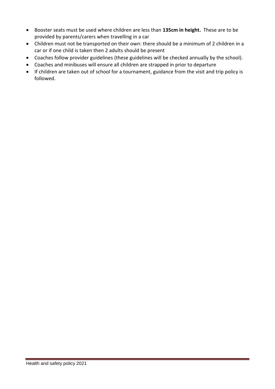- Booster seats must be used where children are less than **135cm in height.** These are to be provided by parents/carers when travelling in a car
- Children must not be transported on their own: there should be a minimum of 2 children in a car or if one child is taken then 2 adults should be present
- Coaches follow provider guidelines (these guidelines will be checked annually by the school).
- Coaches and minibuses will ensure all children are strapped in prior to departure
- If children are taken out of school for a tournament, guidance from the visit and trip policy is followed.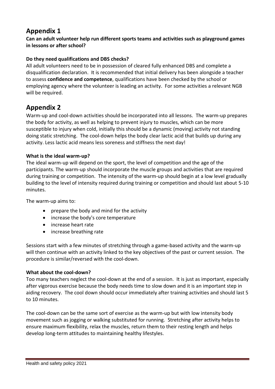# **Appendix 1**

**Can an adult volunteer help run different sports teams and activities such as playground games in lessons or after school?** 

#### **Do they need qualifications and DBS checks?**

All adult volunteers need to be in possession of cleared fully enhanced DBS and complete a disqualification declaration. It is recommended that initial delivery has been alongside a teacher to assess **confidence and competence**, qualifications have been checked by the school or employing agency where the volunteer is leading an activity. For some activities a relevant NGB will be required.

## **Appendix 2**

Warm-up and cool-down activities should be incorporated into all lessons. The warm-up prepares the body for activity, as well as helping to prevent injury to muscles, which can be more susceptible to injury when cold, initially this should be a dynamic (moving) activity not standing doing static stretching. The cool-down helps the body clear lactic acid that builds up during any activity. Less lactic acid means less soreness and stiffness the next day!

#### **What is the ideal warm-up?**

The ideal warm-up will depend on the sport, the level of competition and the age of the participants. The warm-up should incorporate the muscle groups and activities that are required during training or competition. The intensity of the warm-up should begin at a low level gradually building to the level of intensity required during training or competition and should last about 5-10 minutes.

The warm-up aims to:

- prepare the body and mind for the activity
- increase the body's core temperature
- increase heart rate
- increase breathing rate

Sessions start with a few minutes of stretching through a game-based activity and the warm-up will then continue with an activity linked to the key objectives of the past or current session. The procedure is similar/reversed with the cool-down.

#### **What about the cool-down?**

Too many teachers neglect the cool-down at the end of a session. It is just as important, especially after vigorous exercise because the body needs time to slow down and it is an important step in aiding recovery. The cool down should occur immediately after training activities and should last 5 to 10 minutes.

The cool-down can be the same sort of exercise as the warm-up but with low intensity body movement such as jogging or walking substituted for running. Stretching after activity helps to ensure maximum flexibility, relax the muscles, return them to their resting length and helps develop long-term attitudes to maintaining healthy lifestyles.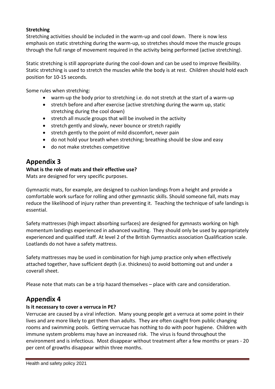#### **Stretching**

Stretching activities should be included in the warm-up and cool down. There is now less emphasis on static stretching during the warm-up, so stretches should move the muscle groups through the full range of movement required in the activity being performed (active stretching).

Static stretching is still appropriate during the cool-down and can be used to improve flexibility. Static stretching is used to stretch the muscles while the body is at rest. Children should hold each position for 10-15 seconds.

Some rules when stretching:

- warm-up the body prior to stretching i.e. do not stretch at the start of a warm-up
- stretch before and after exercise (active stretching during the warm up, static stretching during the cool down)
- stretch all muscle groups that will be involved in the activity
- stretch gently and slowly, never bounce or stretch rapidly
- stretch gently to the point of mild discomfort, never pain
- do not hold your breath when stretching; breathing should be slow and easy
- do not make stretches competitive

## **Appendix 3**

#### **What is the role of mats and their effective use?**

Mats are designed for very specific purposes.

Gymnastic mats, for example, are designed to cushion landings from a height and provide a comfortable work surface for rolling and other gymnastic skills. Should someone fall, mats may reduce the likelihood of injury rather than preventing it. Teaching the technique of safe landings is essential.

Safety mattresses (high impact absorbing surfaces) are designed for gymnasts working on high momentum landings experienced in advanced vaulting. They should only be used by appropriately experienced and qualified staff. At level 2 of the British Gymnastics association Qualification scale. Loatlands do not have a safety mattress.

Safety mattresses may be used in combination for high jump practice only when effectively attached together, have sufficient depth (i.e. thickness) to avoid bottoming out and under a coverall sheet.

Please note that mats can be a trip hazard themselves – place with care and consideration.

# **Appendix 4**

#### **Is it necessary to cover a verruca in PE?**

Verrucae are caused by a viral infection. Many young people get a verruca at some point in their lives and are more likely to get them than adults. They are often caught from public changing rooms and swimming pools. Getting verrucae has nothing to do with poor hygiene. Children with immune system problems may have an increased risk. The virus is found throughout the environment and is infectious. Most disappear without treatment after a few months or years - 20 per cent of growths disappear within three months.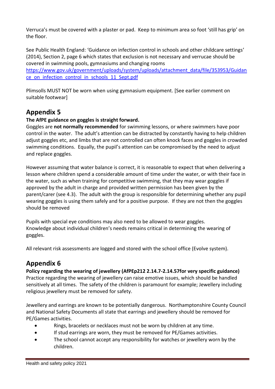Verruca's must be covered with a plaster or pad. Keep to minimum area so foot 'still has grip' on the floor.

See Public Health England: 'Guidance on infection control in schools and other childcare settings' (2014), Section 2, page 6 which states that exclusion is not necessary and verrucae should be covered in swimming pools, gymnasiums and changing rooms

[https://www.gov.uk/government/uploads/system/uploads/attachment\\_data/file/353953/Guidan](https://www.gov.uk/government/uploads/system/uploads/attachment_data/file/353953/Guidance_on_infection_control_in_schools_11_Sept.pdf) [ce\\_on\\_infection\\_control\\_in\\_schools\\_11\\_Sept.pdf](https://www.gov.uk/government/uploads/system/uploads/attachment_data/file/353953/Guidance_on_infection_control_in_schools_11_Sept.pdf)

Plimsolls MUST NOT be worn when using gymnasium equipment. [See earlier comment on suitable footwear]

# **Appendix 5**

#### **The AfPE guidance on goggles is straight forward.**

Goggles are **not normally recommended** for swimming lessons, or where swimmers have poor control in the water. The adult's attention can be distracted by constantly having to help children adjust goggles etc, and limbs that are not controlled can often knock faces and goggles in crowded swimming conditions. Equally, the pupil's attention can be compromised by the need to adjust and replace goggles.

However assuming that water balance is correct, it is reasonable to expect that when delivering a lesson where children spend a considerable amount of time under the water, or with their face in the water, such as when training for competitive swimming, that they may wear goggles if approved by the adult in charge and provided written permission has been given by the parent/carer (see 4.3). The adult with the group is responsible for determining whether any pupil wearing goggles is using them safely and for a positive purpose. If they are not then the goggles should be removed

Pupils with special eye conditions may also need to be allowed to wear goggles. Knowledge about individual children's needs remains critical in determining the wearing of goggles.

All relevant risk assessments are logged and stored with the school office (Evolve system).

# **Appendix 6**

**Policy regarding the wearing of jewellery (AfPEp212 2.14.7-2.14.57for very specific guidance)** Practice regarding the wearing of jewellery can raise emotive issues, which should be handled sensitively at all times. The safety of the children is paramount for example; Jewellery including religious jewellery must be removed for safety.

Jewellery and earrings are known to be potentially dangerous. Northamptonshire County Council and National Safety Documents all state that earrings and jewellery should be removed for PE/Games activities.

- Rings, bracelets or necklaces must not be worn by children at any time.
- If stud earrings are worn, they must be removed for PE/Games activities.
- The school cannot accept any responsibility for watches or jewellery worn by the children.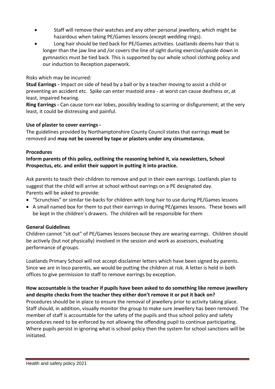- Staff will remove their watches and any other personal jewellery, which might be hazardous when taking PE/Games lessons (except wedding rings).
- Long hair should be tied back for PE/Games activities. Loatlands deems hair that is longer than the jaw line and /or covers the line of sight during exercise/upside down in gymnastics must be tied back. This is supported by our whole school clothing policy and our induction to Reception paperwork.

#### Risks which may be incurred:

**Stud Earrings -** Impact on side of head by a ball or by a teacher moving to assist a child or preventing an accident etc. Spike can enter mastoid area - at worst can cause deafness or, at least, impaired hearing.

**Ring Earrings -** Can cause torn ear lobes, possibly leading to scarring or disfigurement; at the very least, it could be distressing and painful.

#### **Use of plaster to cover earrings -**

The guidelines provided by Northamptonshire County Council states that earrings **must** be removed and **may not be covered by tape or plasters under any circumstance.**

#### **Procedures**

#### **Inform parents of this policy, outlining the reasoning behind it, via newsletters, School Prospectus, etc. and enlist their support in putting it into practice.**

Ask parents to teach their children to remove and put in their own earrings. Loatlands plan to suggest that the child will arrive at school without earrings on a PE designated day. Parents will be asked to provide:

- "Scrunchies" or similar tie-backs for children with long hair to use during PE/Games lessons
- A small named box for them to put their earrings in during PE/games lessons. These boxes will be kept in the children's drawers. The children will be responsible for them

#### **General Guidelines**

Children cannot "sit out" of PE/Games lessons because they are wearing earrings. Children should be actively (but not physically) involved in the session and work as assessors, evaluating performance of groups.

Loatlands Primary School will not accept disclaimer letters which have been signed by parents. Since we are in loco parentis, we would be putting the children at risk. A letter is held in both offices to give permission to staff to remove earrings by exception.

#### **How accountable is the teacher if pupils have been asked to do something like remove jewellery and despite checks from the teacher they either don't remove it or put it back on?**

Procedures should be in place to ensure the removal of jewellery prior to activity taking place. Staff should, in addition, visually monitor the group to make sure Jewellery has been removed. The member of staff is accountable for the safety of the pupils and thus school policy and safety procedures need to be enforced by not allowing the offending pupil to continue participating. Where pupils persist in ignoring what is school policy then the system for school sanctions will be initiated.